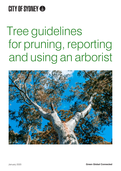### **CITY OF SYDNEY &**

# Tree guidelines for pruning, reporting and using an arborist

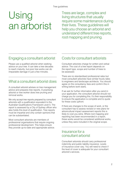### Using an arborist

Trees are large, complex and living structures that usually require some maintenance during their lives. These guidelines will help you choose an arborist and understand different tree reports, root mapping and pruning.

### Engaging a consultant arborist

Please use a qualified arborist when seeking advice on your tree. It can take a tree decades to reach maturity, but poor tree works can do irreparable damage in just a few minutes.

### What a consultant arborist does

A consultant arborist advises on tree management advice and prepares tree reports. A practising arborist or tree worker does tree pruning and removal works.

We only accept tree reports prepared by consultant arborists with a qualification equivalent to the Australian Qualifications Framework Level 5. The report is assessed by a City of Sydney officer who also holds this level of qualification. Tree reports must be impartial and only contain opinions that can be substantiated.

Most consultant arborists are members of professional organisations that require ongoing professional development. This helps ensure they provide up-to-date and appropriate advice.

### Costs for consultant arborists

Consultant arborists charge for written and verbal advice. The cost of a tree report depends on the report type, scope and number of trees to be assessed.

There are no standardised professional rates but most consultant arborists have similar hourly rates to engineers and landscape architects. You should agree on the consultancy fees and confirm this in writing before work starts.

If we ask for further information after you send in your application, the consultant arborist should not charge you for completing this. It's their responsibility to ensure the application is complete and to quote for these costs upfront.

If there are changes to the scope of work, or the consultant has to assess revised or new plans for arboricultural impact assessment reports this is likely to cost you extra. Where root mapping and reporting has been recommended in a report, these works would be considered additional works, unless they were included in the original scope.

### Insurance for a consultant arborist

Consultant arborists should carry professional indemnity and public liability insurance. Levels of insurance cover vary. You will need to check if the level of cover is adequate for your consultant arborist's services.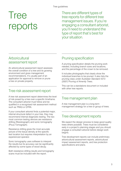## Tree reports

There are different types of tree reports for different tree management issues. If you're engaging a consultant arborist, you'll need to understand the type of report that's best for your situation.

### **Arboricultural** assessment report

An arboricultural assessment report assesses the overall condition of a tree and its growing environment and gives management recommendations. It's usually part of an application for approval to remove or prune a tree on private property.

### Tree risk assessment report

A tree risk assessment report determines the level of risk posed by a tree over a specific timeframe. The consultant arborist must follow and be qualified in a recognised risk assessment method such as TRAQ or QTRA.

If your consultant arborist finds a potential major, internal structural defect in your tree, they may recommend internal diagnostic testing. The two most common testing devices are resistance drilling (Resistograph) and sonic tomography (Picus Tomograph).

Resistance drilling gives the most accurate picture of the tissue density at the specific test location but requires interpretation by an experienced operator.

Sonic tomography uses software to interpret the results but its accuracy can be significantly affected by some types of wood decay.

Both resistance drilling results and tomography scans must be included with the report.

### Pruning specification

A pruning specification details the pruning work needed, including branch sizes and locations, and the percentage of the crown to be removed.

It includes photographs that clearly show the individual branches to be pruned. It also lists the pruning class under *Australian Standard 4373 (2007) Pruning of Amenity Trees.* 

This can be a standalone document or included with other tree reports.

### Tree management plan

A tree management plan is a long-term management strategy for a tree or group of trees.

### Tree development reports

We expect the design process to keep good quality trees where possible. Trees must be considered early in a project's planning stages and you should engage a consultant arborist before design work begins.

Tree development reports can include preliminary arboricultural assessment reports, arboricultural impact assessment reports, and tree protection specifications and plans.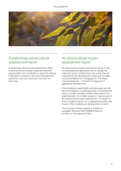

### A preliminary arboricultural assessment report

A preliminary arboricultural assessment report is done at the pre-design stage and identifies opportunities and constraints to guide the design. It allocates a retention value and calculates the protection zone and structural root zone for each tree.

### An arboricultural impact assessment report

An arboricultural impact assessment report is part of a development application and is usually the main tree report. It determines how a tree may be impacted by the development works and includes recommendations for managing this. The report must be objective – it should not argue for or against the development.

A tree protection specification and plan gives specific recommendations on protecting trees on development sites. It usually includes a written document and a graphical plan. On smaller projects, it can be part of the arboricultural impact assessment. On larger or more complex projects, it is a separate document and is part of the conditions of development consent.

The structure of these reports is outlined in *Australian Standard 4970 (2009) Protection of Trees on Development Sites.*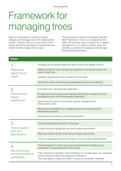Tree guidelines

### Framework for managing trees

Below is a framework to help you assess, integrate and manage trees in the development context. It details when you need arboricultural advice during the development assessment and implementation stages of the project.

This framework is based on *Australian Standard 4970 Protection of Trees on Development Sites 2009*. The standard does not argue for or against development, or to retain or remove trees, but provides a process for managing trees through the development process.

| <b>Stages</b>                                                 |                                                                                                                                                                                                                       |
|---------------------------------------------------------------|-----------------------------------------------------------------------------------------------------------------------------------------------------------------------------------------------------------------------|
| Preliminary<br>arboricultural<br>report                       | Prepared at pre-design stage and used to guide the design process                                                                                                                                                     |
|                                                               | States a retention value and the tree protection zone and structural root<br>zone for each tree                                                                                                                       |
|                                                               | Identifies opportunities and constraints for the trees                                                                                                                                                                |
|                                                               | Determines which trees may be appropriate for removal or retention                                                                                                                                                    |
| 2.<br>Arboricultural<br>impact<br>assessment                  | Submitted with a development application                                                                                                                                                                              |
|                                                               | Provides the City of Sydney with required information to assess the tree<br>management part of the development application                                                                                            |
|                                                               | Determines the extent to which trees may be impacted by the<br>development works                                                                                                                                      |
|                                                               | Makes recommendations on managing those trees throughout the<br>development process                                                                                                                                   |
|                                                               | Guides the tree protection plan and specification                                                                                                                                                                     |
| 3.<br>Tree protection<br>plan and<br>specification            | Outlines tree-specific protection measures                                                                                                                                                                            |
|                                                               | Usually includes a graphical plan and a written specification                                                                                                                                                         |
|                                                               | May be included with the arboricultural impact assessment                                                                                                                                                             |
|                                                               | Can be a separate document for larger or more complex developments                                                                                                                                                    |
| 4.<br>Site monitoring<br>and tree protection<br>certification | The development consent may require arboricultural monitoring and<br>certification for specified parts of the project                                                                                                 |
|                                                               | If the inspections specified in the conditions do not take place, the consultant<br>arborist cannot provide tree protection certification.<br>This may delay or impact our ability to issue an occupation certificate |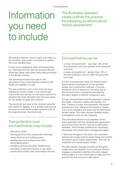#### Tree guidelines

### Information you need to include

The Australian standard clearly outlines the process for preparing an arboricultural impact assessment.

Allocating a retention value to each tree helps us, the architect, and project consultants to identify the most valuable trees.

It may not be possible to retain all existing trees on a development site. But the proposal should show that higher value trees have been prioritised in the design process.

The standard provides formulae for the calculation of two zones that are critical for the health and stability of a tree.

The tree protection zone is the minimum area needed for a tree's health. It can extend well beyond the tree canopy. It is the area sufficient to preserve the small diameter roots the tree needs for the uptake of water and nutrients.

The structural root zone is the minimum area the tree needs for stability. It is a smaller area around the base of trunk which usually contains most of the large diameter, structural roots.

#### Tree protection zone encroachments may include:

- demolition works
- altering ground levels (raising and lowering)
- doing structure and building works
- adding pavement surfaces and other landscaping works
- installing services and other infrastructure
- providing construction access or any other construction activity that could impact the tree

### Encroachments can be:

- a minor encroachment less than 10% of the tree protection zone and outside of the structural root zone
- a major encroachment greater than 10% of the tree protection zone or within the structural root zone

A minor encroachment does not require further arboricultural investigations or tree sensitive design and construction methods. If the tree protection zone is reduced in one area due to the encroachment, it should be extended by the same degree in another contiguous area.

A major encroachment has the potential to impact the health, long-term viability and stability of a tree. If there is a major encroachment, the impact assessment must reference the factors in clause 3.3.4 of the standard and show that the tree would remain viable. This often requires detailed onsite investigations such as root mapping.

The consultant arborist must assesses all the plans submitted with the development application and ensure these are the most up to date plans available. This includes architectural, landscape, stormwater and construction management plans.

If there are changes to the plans, the consultant arborist will usually need to review these and amend the arboricultural impact assessment. This can be expensive and cause project delays.

We often require changes to plans so that good quality trees are retained. This is why you need to engage a consultant arborist in the early stages of the project. It is the clients role to make sure the arborist has the most up to date plans.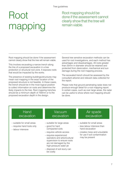#### Tree guidelines

### Root mapping

Root mapping should be done if the assessment cannot clearly show that the tree will remain viable.

Root mapping should be done if the assessment cannot clearly show that the tree will remain viable.

This involves excavating a narrow trench along the line of a proposed excavation in a tree protection or structural root zone. It exposes roots that would be impacted by the works.

The presence of existing buildings/structures may mean root mapping in the exact location of the proposed structure is not feasible. In these cases, the trench should be in the most logical position to collect information on roots and determine the likely impacts to the tree. Root mapping trenches should be a minimum depth of 700mm or to the proposed excavation depth in the design.

Several tree sensitive excavation methods can be used for root investigations, and each method has advantages and disadvantages. All roots greater than 25mm in diameter should be retained and protected from desiccation, mechanical and sun damage during the root mapping process.

The excavated trench should be assessed by the consultant arborist and relevant data collected for the report.

Please note that ground penetrating radar does not produce enough detail for a root mapping report. In certain cases, such as over large areas, the radar can be useful to show where root mapping should be done.

#### **Hand** excavation

- suitable for small areas
- requires hand tools only
- labour intensive

#### Vacuum excavation

- suitable for large areas
- good for hard compacted soils
- requires vehicle access
- requires experienced operators and arboricultural supervision to ensure roots are not damaged by the high-pressure water jet
- disposal of soil slurry can be costly

#### Air spade excavation

- suitable for small areas
- less labour intensive than hand excavation
- creates mess and unsuitable for use if soil contamination may be present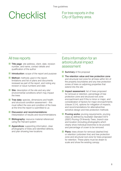## Checklist For tree reports in the

City of Sydney area.

### All tree reports

- **Title page**: site address, client, date, revision number, and name, contact details and qualification of the author
- Introduction: scope of the report and purpose
- **Method:** methods used in the report, limitations and list of plans and documents reviewed as part of the report, and noting any revision or issue numbers and date
- Site: description of the site and any site/ environmental conditions which may impact the trees
- **Tree data:** species, dimensions and health and structural condition assessment – this must reflect the size and condition of the trees at the time the report is submitted to us
- Discussion and recommendations: interpretation of results and recommendations
- **Bibliography:** resource material referenced using the Harvard system
- Appendices: supporting information, clear photographs of trees and identified defects, and plan showing tree locations

### Extra information for an arboricultural impact assessment

- Summary of the proposal
- $\blacksquare$  The retention value and tree protection zone and structural root zone for all trees within 5m of the property boundaries and any tree protection zones of trees on adjoining properties that extend into the site
- Impact assessment: list of trees proposed for removal or retention, percentage of tree protection zone and structural root zone encroachment and if this is minor or major, and consideration of factors for major encroachments (clause 3.3.4), options for mitigation of impacts, and recommendations for alternative/tree sensitive design and tree protection methods
- **Pruning works:** pruning requirements, pruning class as defined by *Australian Standard 4373 (2007) Pruning Of Amenity Trees*, branch size and location (including photographs which clearly show individual branches to be pruned) and percentage of crown to be removed
- **Plans:** trees shown for removal (dashed line) or retention (unbroken line) and tree protection zone and structural root zone for trees proposed for retention. These plans must be drawn to scale and show the existing canopy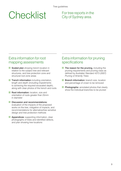## Checklist For tree reports in the

City of Sydney area.

### Extra information for root mapping assessments

- Scaled plan showing trench location in relation to the subject tree and relevant structures, and tree protection zone and structural root zone areas
- **Trench information** including orientation, length and depth (including impediments to achieving the required excavated depth), along with clear photos of the trench and roots
- **Root information:** location, size and orientation of roots greater than 25mm in diameter
- Discussion and recommendations: evaluation of the impacts of the proposed works on the tree, mitigation of impacts, and recommendations for alternative/tree sensitive design and tree protection methods
- **Appendices:** supporting information, clear photographs of trees and identified defects, and plan showing tree locations

### Extra information for pruning specifications

- $\blacksquare$  The reason for the pruning, including the pruning requirements and pruning class as defined by *Australian Standard 4373 (2007) Pruning of Amenity Trees*
- **Branch information:** branch size, location and percentage of crown to be removed
- **Photographs:** annotated photos that clearly show the individual branches to be pruned